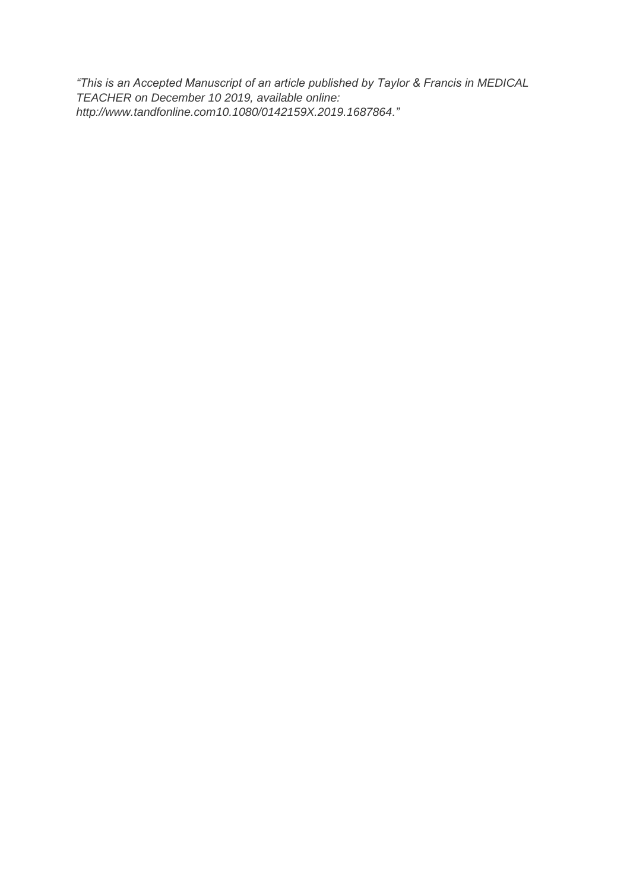*"This is an Accepted Manuscript of an article published by Taylor & Francis in MEDICAL TEACHER on December 10 2019, available online: http://www.tandfonline.com10.1080/0142159X.2019.1687864."*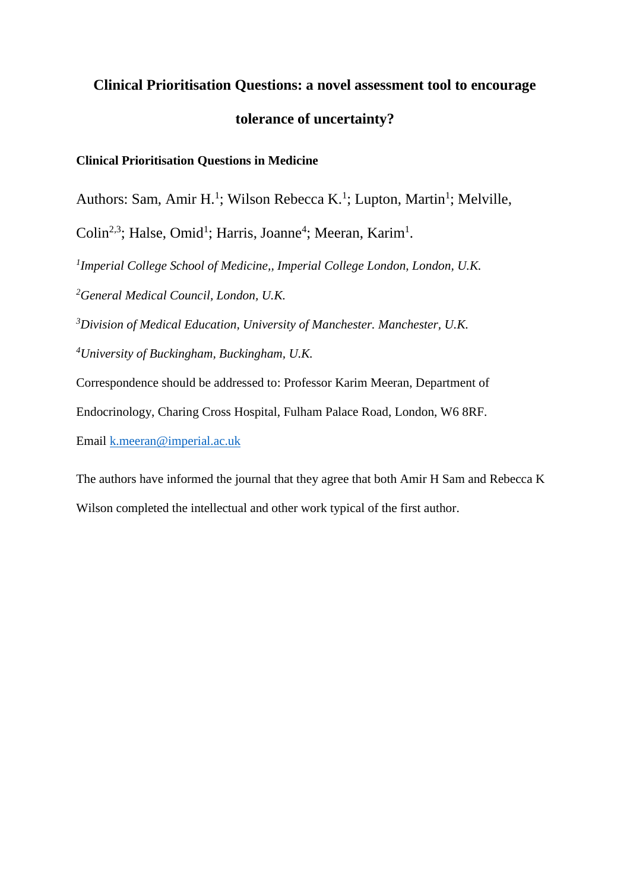# **Clinical Prioritisation Questions: a novel assessment tool to encourage tolerance of uncertainty?**

# **Clinical Prioritisation Questions in Medicine**

Authors: Sam, Amir H.<sup>1</sup>; Wilson Rebecca K.<sup>1</sup>; Lupton, Martin<sup>1</sup>; Melville,

Colin<sup>2,3</sup>; Halse, Omid<sup>1</sup>; Harris, Joanne<sup>4</sup>; Meeran, Karim<sup>1</sup>.

*1 Imperial College School of Medicine,, Imperial College London, London, U.K.* 

*<sup>2</sup>General Medical Council, London, U.K.*

*<sup>3</sup>Division of Medical Education, University of Manchester. Manchester, U.K.*

*<sup>4</sup>University of Buckingham, Buckingham, U.K.*

Correspondence should be addressed to: Professor Karim Meeran, Department of

Endocrinology, Charing Cross Hospital, Fulham Palace Road, London, W6 8RF.

Email [k.meeran@imperial.ac.uk](mailto:k.meeran@imperial.ac.uk)

The authors have informed the journal that they agree that both Amir H Sam and Rebecca K

Wilson completed the intellectual and other work typical of the first author.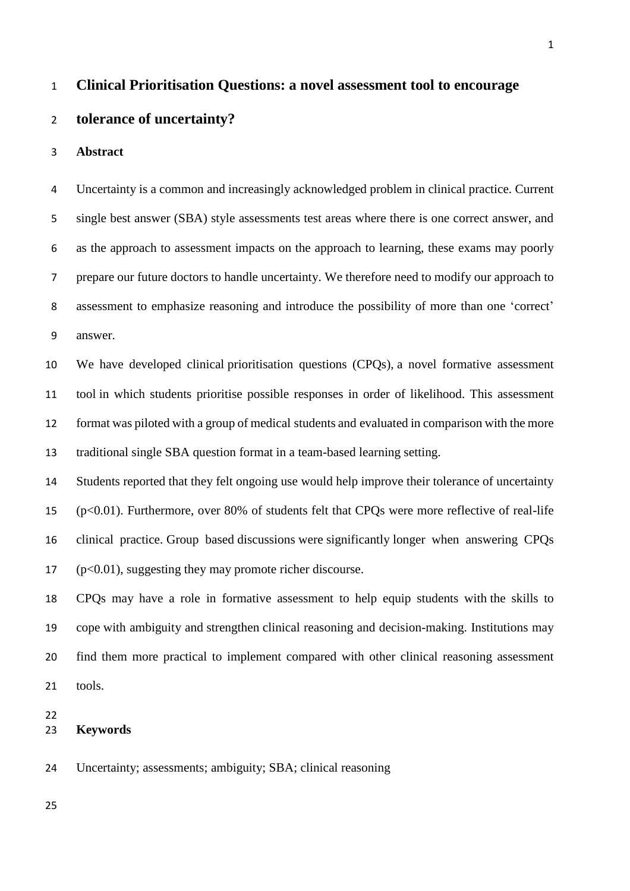## **Clinical Prioritisation Questions: a novel assessment tool to encourage**

## **tolerance of uncertainty?**

#### **Abstract**

 Uncertainty is a common and increasingly acknowledged problem in clinical practice. Current single best answer (SBA) style assessments test areas where there is one correct answer, and as the approach to assessment impacts on the approach to learning, these exams may poorly prepare our future doctors to handle uncertainty. We therefore need to modify our approach to assessment to emphasize reasoning and introduce the possibility of more than one 'correct' answer.

 We have developed clinical prioritisation questions (CPQs), a novel formative assessment tool in which students prioritise possible responses in order of likelihood. This assessment format was piloted with a group of medical students and evaluated in comparison with the more traditional single SBA question format in a team-based learning setting.

 Students reported that they felt ongoing use would help improve their tolerance of uncertainty (p<0.01). Furthermore, over 80% of students felt that CPQs were more reflective of real-life clinical practice. Group based discussions were significantly longer when answering CPQs (p<0.01), suggesting they may promote richer discourse.

 CPQs may have a role in formative assessment to help equip students with the skills to cope with ambiguity and strengthen clinical reasoning and decision-making. Institutions may find them more practical to implement compared with other clinical reasoning assessment tools.

## **Keywords**

Uncertainty; assessments; ambiguity; SBA; clinical reasoning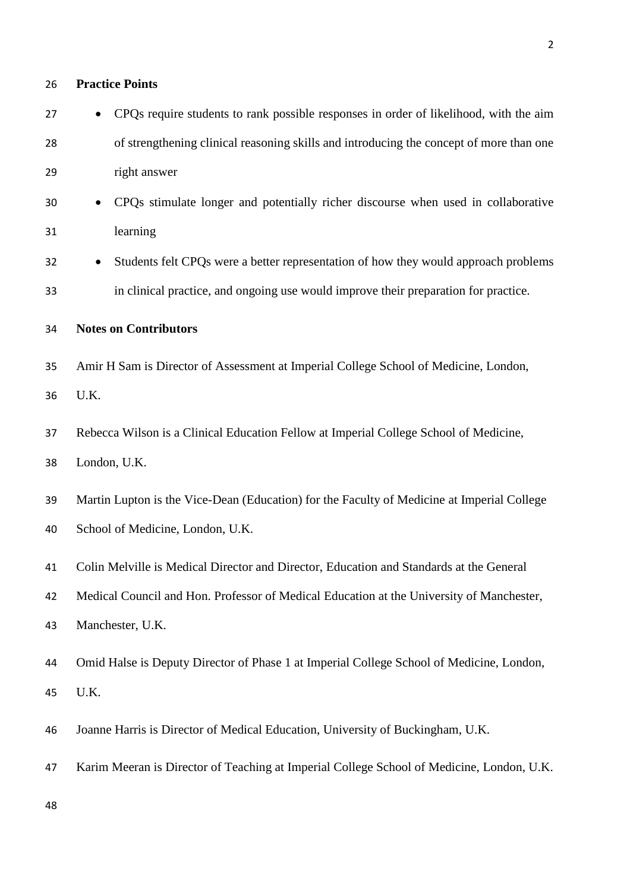| 26 | <b>Practice Points</b>                                                                     |  |  |
|----|--------------------------------------------------------------------------------------------|--|--|
| 27 | CPQs require students to rank possible responses in order of likelihood, with the aim      |  |  |
| 28 | of strengthening clinical reasoning skills and introducing the concept of more than one    |  |  |
| 29 | right answer                                                                               |  |  |
| 30 | CPQs stimulate longer and potentially richer discourse when used in collaborative          |  |  |
| 31 | learning                                                                                   |  |  |
| 32 | Students felt CPQs were a better representation of how they would approach problems        |  |  |
| 33 | in clinical practice, and ongoing use would improve their preparation for practice.        |  |  |
| 34 | <b>Notes on Contributors</b>                                                               |  |  |
| 35 | Amir H Sam is Director of Assessment at Imperial College School of Medicine, London,       |  |  |
| 36 | U.K.                                                                                       |  |  |
| 37 | Rebecca Wilson is a Clinical Education Fellow at Imperial College School of Medicine,      |  |  |
| 38 | London, U.K.                                                                               |  |  |
| 39 | Martin Lupton is the Vice-Dean (Education) for the Faculty of Medicine at Imperial College |  |  |
| 40 | School of Medicine, London, U.K.                                                           |  |  |
| 41 | Colin Melville is Medical Director and Director, Education and Standards at the General    |  |  |
| 42 | Medical Council and Hon. Professor of Medical Education at the University of Manchester,   |  |  |
| 43 | Manchester, U.K.                                                                           |  |  |
| 44 | Omid Halse is Deputy Director of Phase 1 at Imperial College School of Medicine, London,   |  |  |
| 45 | U.K.                                                                                       |  |  |
| 46 | Joanne Harris is Director of Medical Education, University of Buckingham, U.K.             |  |  |
| 47 | Karim Meeran is Director of Teaching at Imperial College School of Medicine, London, U.K.  |  |  |
| 48 |                                                                                            |  |  |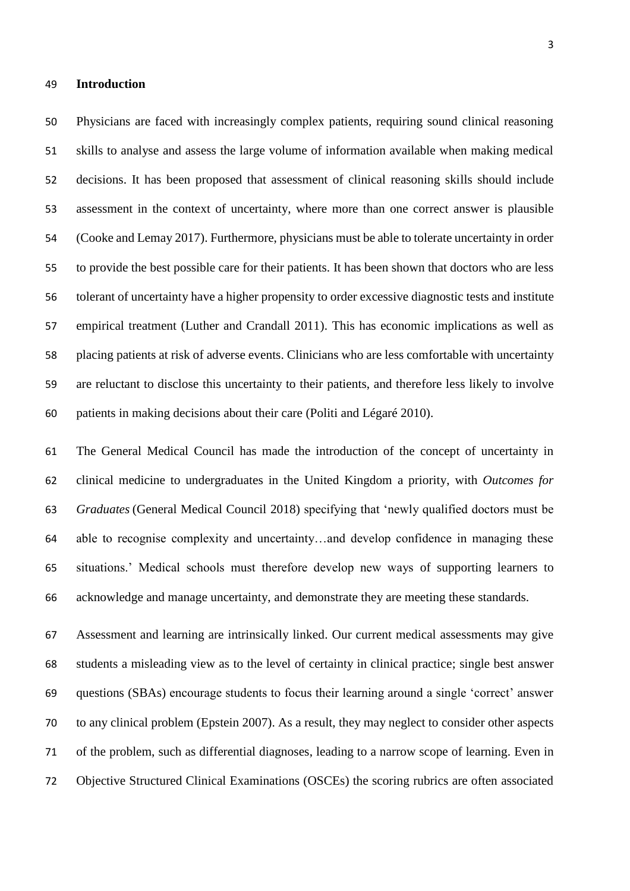#### **Introduction**

 Physicians are faced with increasingly complex patients, requiring sound clinical reasoning skills to analyse and assess the large volume of information available when making medical decisions. It has been proposed that assessment of clinical reasoning skills should include assessment in the context of uncertainty, where more than one correct answer is plausible (Cooke and Lemay 2017). Furthermore, physicians must be able to tolerate uncertainty in order to provide the best possible care for their patients. It has been shown that doctors who are less tolerant of uncertainty have a higher propensity to order excessive diagnostic tests and institute empirical treatment (Luther and Crandall 2011). This has economic implications as well as placing patients at risk of adverse events. Clinicians who are less comfortable with uncertainty are reluctant to disclose this uncertainty to their patients, and therefore less likely to involve patients in making decisions about their care (Politi and Légaré 2010).

 The General Medical Council has made the introduction of the concept of uncertainty in clinical medicine to undergraduates in the United Kingdom a priority, with *Outcomes for Graduates* (General Medical Council 2018) specifying that 'newly qualified doctors must be able to recognise complexity and uncertainty…and develop confidence in managing these situations.' Medical schools must therefore develop new ways of supporting learners to acknowledge and manage uncertainty, and demonstrate they are meeting these standards.

 Assessment and learning are intrinsically linked. Our current medical assessments may give students a misleading view as to the level of certainty in clinical practice; single best answer questions (SBAs) encourage students to focus their learning around a single 'correct' answer to any clinical problem (Epstein 2007). As a result, they may neglect to consider other aspects of the problem, such as differential diagnoses, leading to a narrow scope of learning. Even in Objective Structured Clinical Examinations (OSCEs) the scoring rubrics are often associated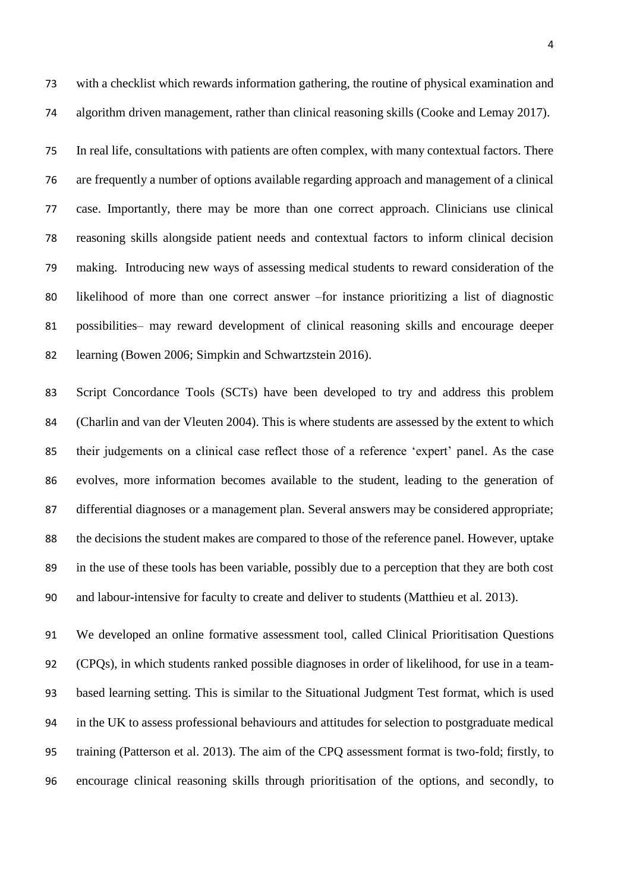with a checklist which rewards information gathering, the routine of physical examination and algorithm driven management, rather than clinical reasoning skills (Cooke and Lemay 2017).

 In real life, consultations with patients are often complex, with many contextual factors. There are frequently a number of options available regarding approach and management of a clinical case. Importantly, there may be more than one correct approach. Clinicians use clinical reasoning skills alongside patient needs and contextual factors to inform clinical decision making. Introducing new ways of assessing medical students to reward consideration of the likelihood of more than one correct answer –for instance prioritizing a list of diagnostic possibilities– may reward development of clinical reasoning skills and encourage deeper learning (Bowen 2006; Simpkin and Schwartzstein 2016).

 Script Concordance Tools (SCTs) have been developed to try and address this problem (Charlin and van der Vleuten 2004). This is where students are assessed by the extent to which their judgements on a clinical case reflect those of a reference 'expert' panel. As the case evolves, more information becomes available to the student, leading to the generation of differential diagnoses or a management plan. Several answers may be considered appropriate; the decisions the student makes are compared to those of the reference panel. However, uptake in the use of these tools has been variable, possibly due to a perception that they are both cost and labour-intensive for faculty to create and deliver to students (Matthieu et al. 2013).

 We developed an online formative assessment tool, called Clinical Prioritisation Questions (CPQs), in which students ranked possible diagnoses in order of likelihood, for use in a team- based learning setting. This is similar to the Situational Judgment Test format, which is used in the UK to assess professional behaviours and attitudes for selection to postgraduate medical training (Patterson et al. 2013). The aim of the CPQ assessment format is two-fold; firstly, to encourage clinical reasoning skills through prioritisation of the options, and secondly, to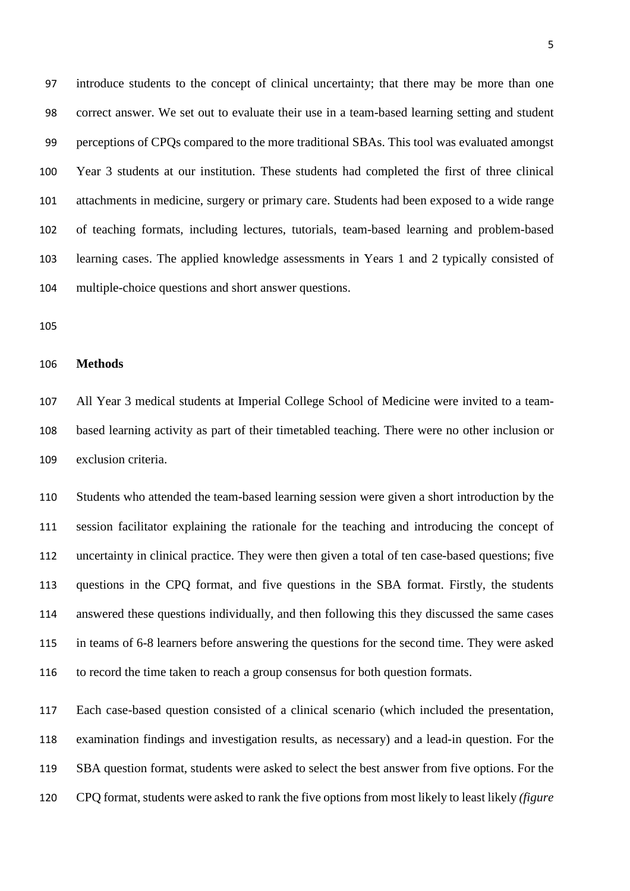introduce students to the concept of clinical uncertainty; that there may be more than one correct answer. We set out to evaluate their use in a team-based learning setting and student perceptions of CPQs compared to the more traditional SBAs. This tool was evaluated amongst Year 3 students at our institution. These students had completed the first of three clinical attachments in medicine, surgery or primary care. Students had been exposed to a wide range of teaching formats, including lectures, tutorials, team-based learning and problem-based learning cases. The applied knowledge assessments in Years 1 and 2 typically consisted of multiple-choice questions and short answer questions.

#### **Methods**

 All Year 3 medical students at Imperial College School of Medicine were invited to a team- based learning activity as part of their timetabled teaching. There were no other inclusion or exclusion criteria.

 Students who attended the team-based learning session were given a short introduction by the session facilitator explaining the rationale for the teaching and introducing the concept of uncertainty in clinical practice. They were then given a total of ten case-based questions; five questions in the CPQ format, and five questions in the SBA format. Firstly, the students answered these questions individually, and then following this they discussed the same cases in teams of 6-8 learners before answering the questions for the second time. They were asked to record the time taken to reach a group consensus for both question formats.

 Each case-based question consisted of a clinical scenario (which included the presentation, examination findings and investigation results, as necessary) and a lead-in question. For the SBA question format, students were asked to select the best answer from five options. For the CPQ format, students were asked to rank the five options from most likely to least likely *(figure*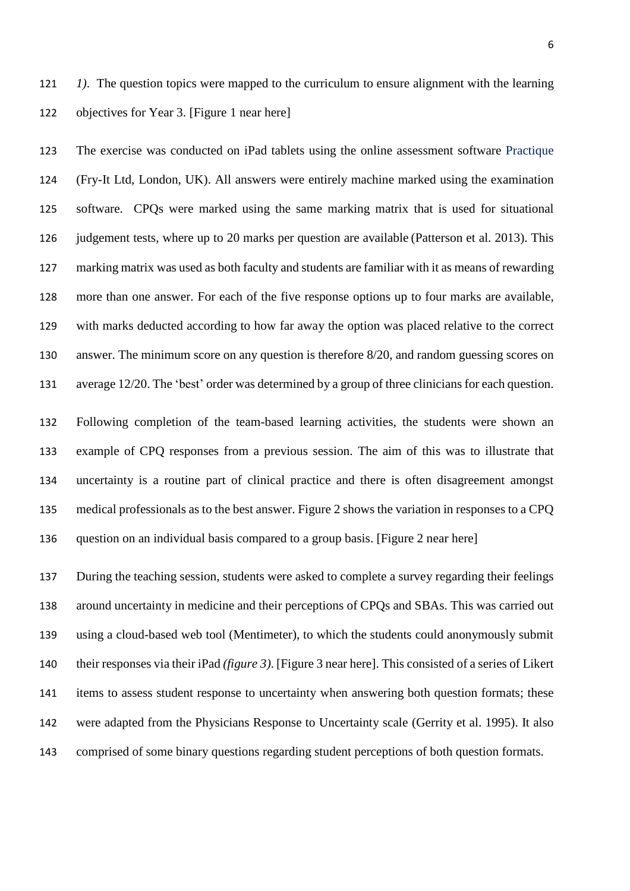*1)*. The question topics were mapped to the curriculum to ensure alignment with the learning objectives for Year 3. [Figure 1 near here]

 The exercise was conducted on iPad tablets using the online assessment software Practique (Fry-It Ltd, London, UK). All answers were entirely machine marked using the examination software. CPQs were marked using the same marking matrix that is used for situational 126 judgement tests, where up to 20 marks per question are available (Patterson et al. 2013). This marking matrix was used as both faculty and students are familiar with it as means of rewarding more than one answer. For each of the five response options up to four marks are available, with marks deducted according to how far away the option was placed relative to the correct answer. The minimum score on any question is therefore 8/20, and random guessing scores on average 12/20. The 'best' order was determined by a group of three clinicians for each question.

 Following completion of the team-based learning activities, the students were shown an example of CPQ responses from a previous session. The aim of this was to illustrate that uncertainty is a routine part of clinical practice and there is often disagreement amongst medical professionals as to the best answer. Figure 2 shows the variation in responses to a CPQ question on an individual basis compared to a group basis. [Figure 2 near here]

 During the teaching session, students were asked to complete a survey regarding their feelings around uncertainty in medicine and their perceptions of CPQs and SBAs. This was carried out using a cloud-based web tool (Mentimeter), to which the students could anonymously submit their responses via their iPad *(figure 3)*. [Figure 3 near here]. This consisted of a series of Likert items to assess student response to uncertainty when answering both question formats; these were adapted from the Physicians Response to Uncertainty scale (Gerrity et al. 1995). It also comprised of some binary questions regarding student perceptions of both question formats.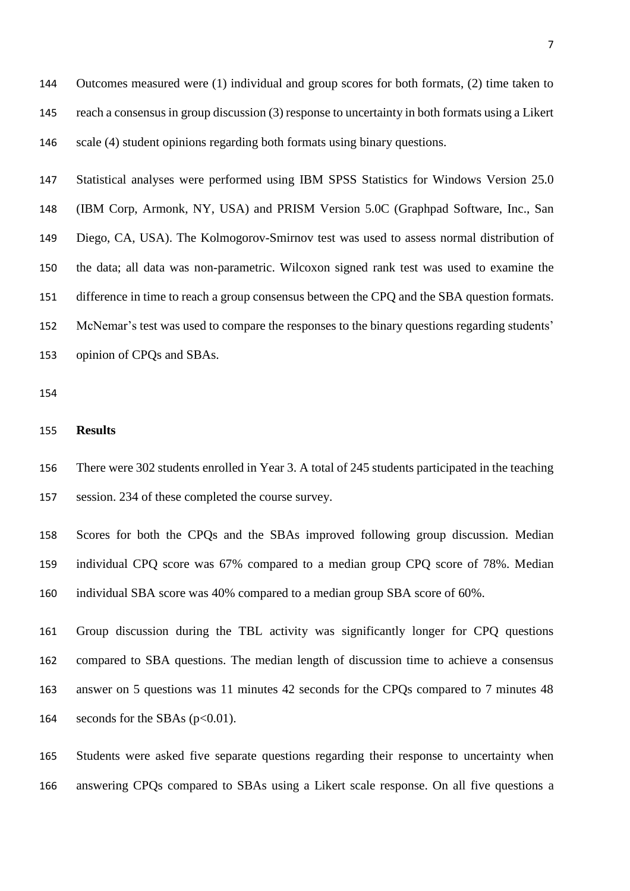Outcomes measured were (1) individual and group scores for both formats, (2) time taken to reach a consensus in group discussion (3) response to uncertainty in both formats using a Likert scale (4) student opinions regarding both formats using binary questions.

 Statistical analyses were performed using IBM SPSS Statistics for Windows Version 25.0 (IBM Corp, Armonk, NY, USA) and PRISM Version 5.0C (Graphpad Software, Inc., San Diego, CA, USA). The Kolmogorov-Smirnov test was used to assess normal distribution of the data; all data was non-parametric. Wilcoxon signed rank test was used to examine the difference in time to reach a group consensus between the CPQ and the SBA question formats. McNemar's test was used to compare the responses to the binary questions regarding students' opinion of CPQs and SBAs.

#### **Results**

 There were 302 students enrolled in Year 3. A total of 245 students participated in the teaching session. 234 of these completed the course survey.

 Scores for both the CPQs and the SBAs improved following group discussion. Median individual CPQ score was 67% compared to a median group CPQ score of 78%. Median individual SBA score was 40% compared to a median group SBA score of 60%.

 Group discussion during the TBL activity was significantly longer for CPQ questions compared to SBA questions. The median length of discussion time to achieve a consensus answer on 5 questions was 11 minutes 42 seconds for the CPQs compared to 7 minutes 48 164 seconds for the SBAs  $(p<0.01)$ .

 Students were asked five separate questions regarding their response to uncertainty when answering CPQs compared to SBAs using a Likert scale response. On all five questions a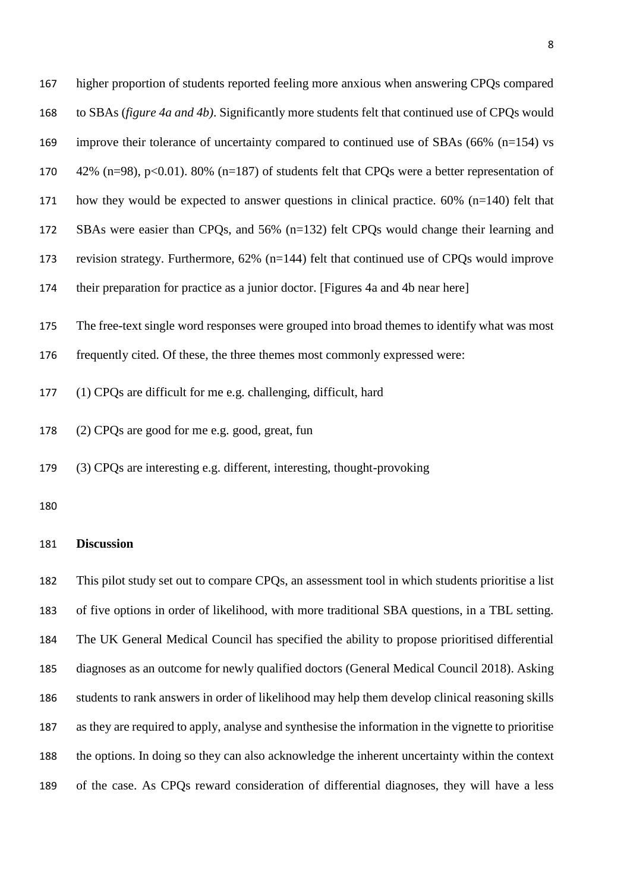| 167 | higher proportion of students reported feeling more anxious when answering CPQs compared               |
|-----|--------------------------------------------------------------------------------------------------------|
| 168 | to SBAs ( <i>figure 4a and 4b</i> ). Significantly more students felt that continued use of CPQs would |
| 169 | improve their tolerance of uncertainty compared to continued use of SBAs $(66\% (n=154)$ vs            |
| 170 | 42% (n=98), p<0.01). 80% (n=187) of students felt that CPQs were a better representation of            |
| 171 | how they would be expected to answer questions in clinical practice. $60\%$ (n=140) felt that          |
| 172 | SBAs were easier than CPQs, and $56\%$ ( $n=132$ ) felt CPQs would change their learning and           |
| 173 | revision strategy. Furthermore, $62\%$ ( $n=144$ ) felt that continued use of CPQs would improve       |
| 174 | their preparation for practice as a junior doctor. [Figures 4a and 4b near here]                       |
| 175 | The free-text single word responses were grouped into broad themes to identify what was most           |
| 176 | frequently cited. Of these, the three themes most commonly expressed were:                             |
| 177 | (1) CPQs are difficult for me e.g. challenging, difficult, hard                                        |

- (2) CPQs are good for me e.g. good, great, fun
- (3) CPQs are interesting e.g. different, interesting, thought-provoking
- 

## **Discussion**

 This pilot study set out to compare CPQs, an assessment tool in which students prioritise a list of five options in order of likelihood, with more traditional SBA questions, in a TBL setting. The UK General Medical Council has specified the ability to propose prioritised differential diagnoses as an outcome for newly qualified doctors (General Medical Council 2018). Asking students to rank answers in order of likelihood may help them develop clinical reasoning skills as they are required to apply, analyse and synthesise the information in the vignette to prioritise the options. In doing so they can also acknowledge the inherent uncertainty within the context of the case. As CPQs reward consideration of differential diagnoses, they will have a less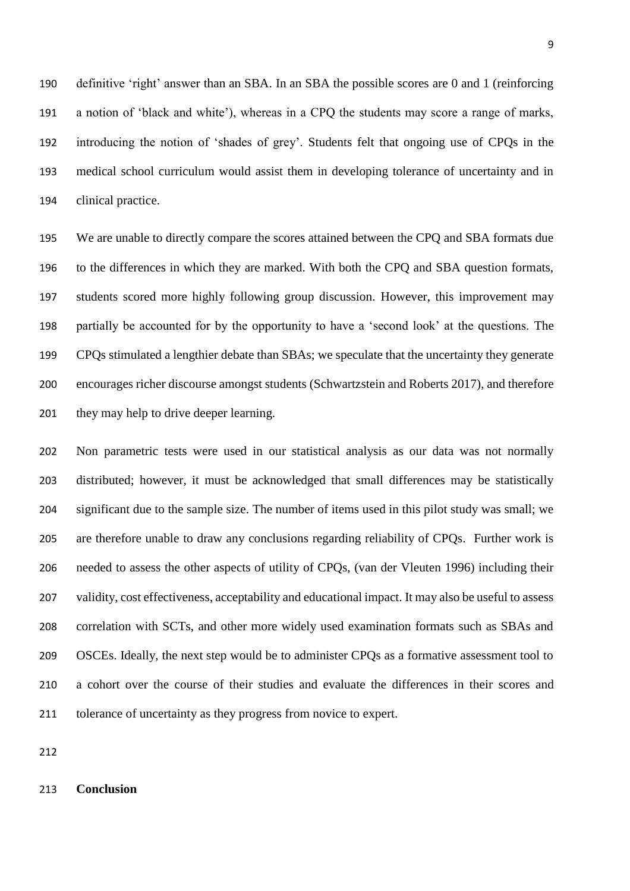definitive 'right' answer than an SBA. In an SBA the possible scores are 0 and 1 (reinforcing a notion of 'black and white'), whereas in a CPQ the students may score a range of marks, introducing the notion of 'shades of grey'. Students felt that ongoing use of CPQs in the medical school curriculum would assist them in developing tolerance of uncertainty and in clinical practice.

 We are unable to directly compare the scores attained between the CPQ and SBA formats due to the differences in which they are marked. With both the CPQ and SBA question formats, students scored more highly following group discussion. However, this improvement may partially be accounted for by the opportunity to have a 'second look' at the questions. The CPQs stimulated a lengthier debate than SBAs; we speculate that the uncertainty they generate encourages richer discourse amongst students (Schwartzstein and Roberts 2017), and therefore 201 they may help to drive deeper learning.

 Non parametric tests were used in our statistical analysis as our data was not normally distributed; however, it must be acknowledged that small differences may be statistically significant due to the sample size. The number of items used in this pilot study was small; we are therefore unable to draw any conclusions regarding reliability of CPQs. Further work is needed to assess the other aspects of utility of CPQs, (van der Vleuten 1996) including their validity, cost effectiveness, acceptability and educational impact. It may also be useful to assess correlation with SCTs, and other more widely used examination formats such as SBAs and OSCEs. Ideally, the next step would be to administer CPQs as a formative assessment tool to a cohort over the course of their studies and evaluate the differences in their scores and tolerance of uncertainty as they progress from novice to expert.

## **Conclusion**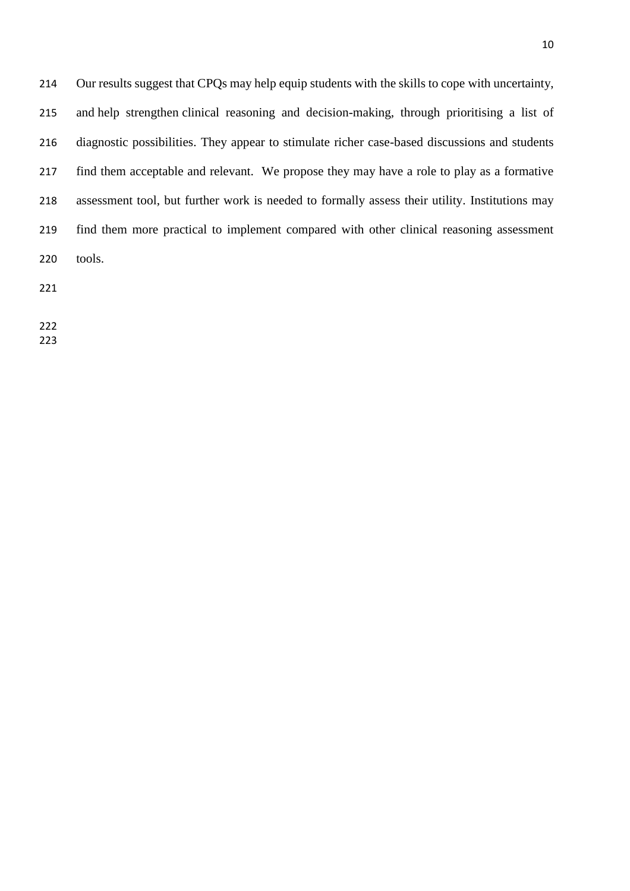| 214 | Our results suggest that CPQs may help equip students with the skills to cope with uncertainty, |
|-----|-------------------------------------------------------------------------------------------------|
| 215 | and help strengthen clinical reasoning and decision-making, through prioritising a list of      |
| 216 | diagnostic possibilities. They appear to stimulate richer case-based discussions and students   |
| 217 | find them acceptable and relevant. We propose they may have a role to play as a formative       |
| 218 | assessment tool, but further work is needed to formally assess their utility. Institutions may  |
| 219 | find them more practical to implement compared with other clinical reasoning assessment         |
| 220 | tools.                                                                                          |
|     |                                                                                                 |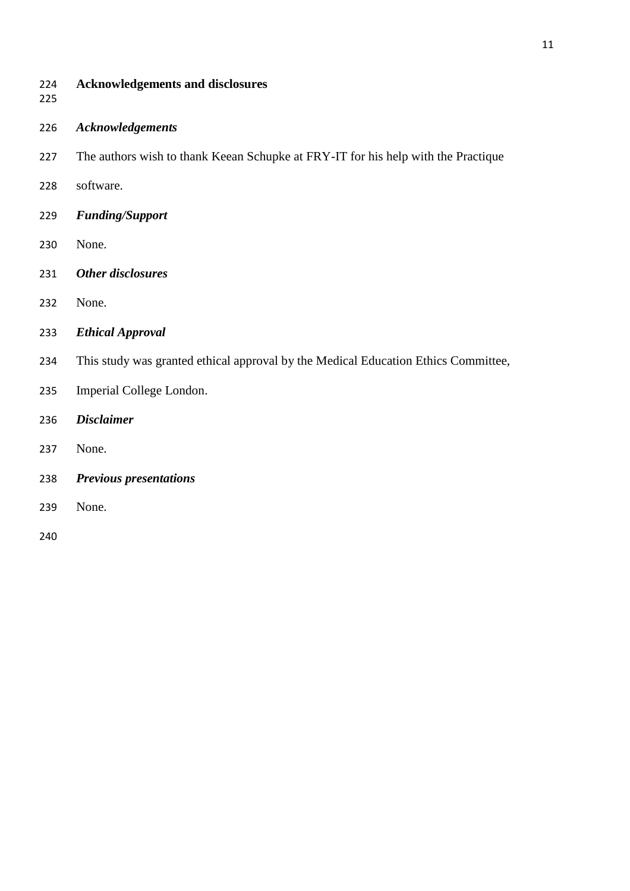## **Acknowledgements and disclosures**

- 
- *Acknowledgements*
- The authors wish to thank Keean Schupke at FRY-IT for his help with the Practique
- software.
- *Funding/Support*
- None.
- *Other disclosures*
- None.
- *Ethical Approval*
- This study was granted ethical approval by the Medical Education Ethics Committee,
- Imperial College London.
- *Disclaimer*
- None.
- *Previous presentations*
- None.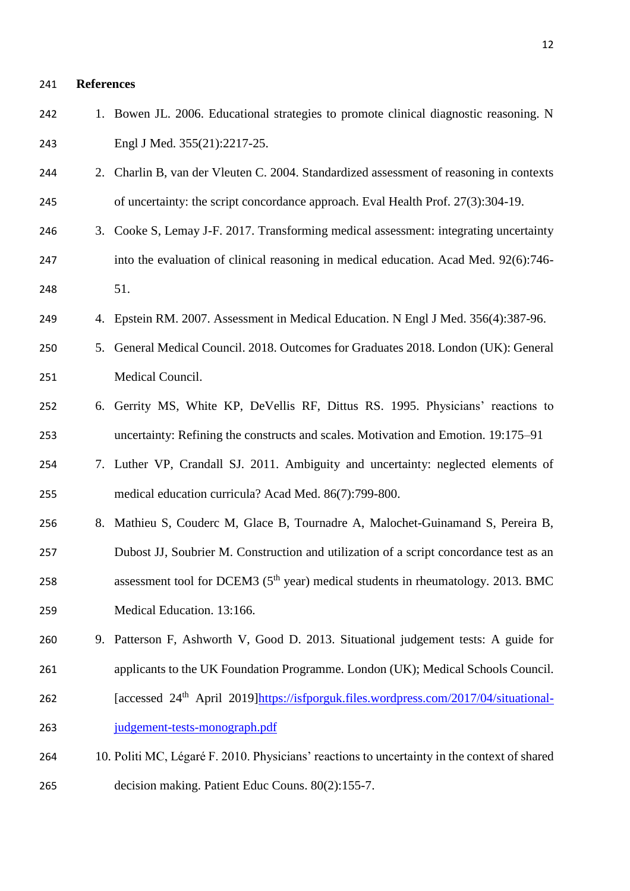# **References**

| 242 | 1. Bowen JL. 2006. Educational strategies to promote clinical diagnostic reasoning. N            |
|-----|--------------------------------------------------------------------------------------------------|
| 243 | Engl J Med. 355(21):2217-25.                                                                     |
| 244 | 2. Charlin B, van der Vleuten C. 2004. Standardized assessment of reasoning in contexts          |
| 245 | of uncertainty: the script concordance approach. Eval Health Prof. 27(3):304-19.                 |
| 246 | 3. Cooke S, Lemay J-F. 2017. Transforming medical assessment: integrating uncertainty            |
| 247 | into the evaluation of clinical reasoning in medical education. Acad Med. 92(6):746-             |
| 248 | 51.                                                                                              |
| 249 | 4. Epstein RM. 2007. Assessment in Medical Education. N Engl J Med. 356(4):387-96.               |
| 250 | 5. General Medical Council. 2018. Outcomes for Graduates 2018. London (UK): General              |
| 251 | Medical Council.                                                                                 |
| 252 | 6. Gerrity MS, White KP, DeVellis RF, Dittus RS. 1995. Physicians' reactions to                  |
| 253 | uncertainty: Refining the constructs and scales. Motivation and Emotion. 19:175–91               |
| 254 | 7. Luther VP, Crandall SJ. 2011. Ambiguity and uncertainty: neglected elements of                |
| 255 | medical education curricula? Acad Med. 86(7):799-800.                                            |
| 256 | 8. Mathieu S, Couderc M, Glace B, Tournadre A, Malochet-Guinamand S, Pereira B,                  |
| 257 | Dubost JJ, Soubrier M. Construction and utilization of a script concordance test as an           |
| 258 | assessment tool for DCEM3 (5 <sup>th</sup> year) medical students in rheumatology. 2013. BMC     |
| 259 | Medical Education. 13:166.                                                                       |
| 260 | 9. Patterson F, Ashworth V, Good D. 2013. Situational judgement tests: A guide for               |
| 261 | applicants to the UK Foundation Programme. London (UK); Medical Schools Council.                 |
| 262 | [accessed 24 <sup>th</sup> April 2019]https://isfporguk.files.wordpress.com/2017/04/situational- |
| 263 | judgement-tests-monograph.pdf                                                                    |
| 264 | 10. Politi MC, Légaré F. 2010. Physicians' reactions to uncertainty in the context of shared     |
| 265 | decision making. Patient Educ Couns. 80(2):155-7.                                                |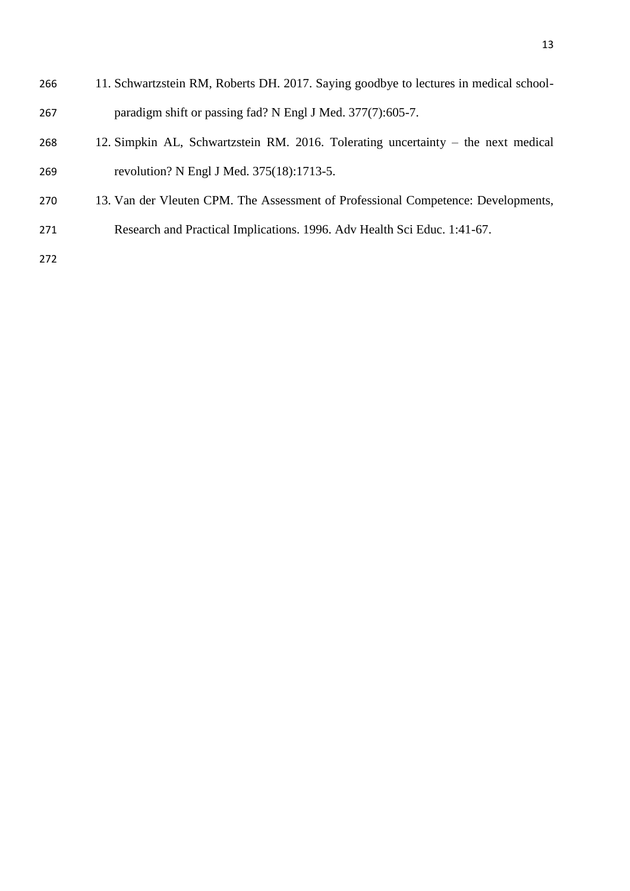| 266 | 11. Schwartzstein RM, Roberts DH. 2017. Saying goodbye to lectures in medical school- |
|-----|---------------------------------------------------------------------------------------|
| 267 | paradigm shift or passing fad? N Engl J Med. 377(7):605-7.                            |
| 268 | 12. Simpkin AL, Schwartzstein RM. 2016. Tolerating uncertainty – the next medical     |

- revolution? N Engl J Med. 375(18):1713-5.
- 13. Van der Vleuten CPM. The Assessment of Professional Competence: Developments,
- Research and Practical Implications. 1996. Adv Health Sci Educ. 1:41-67.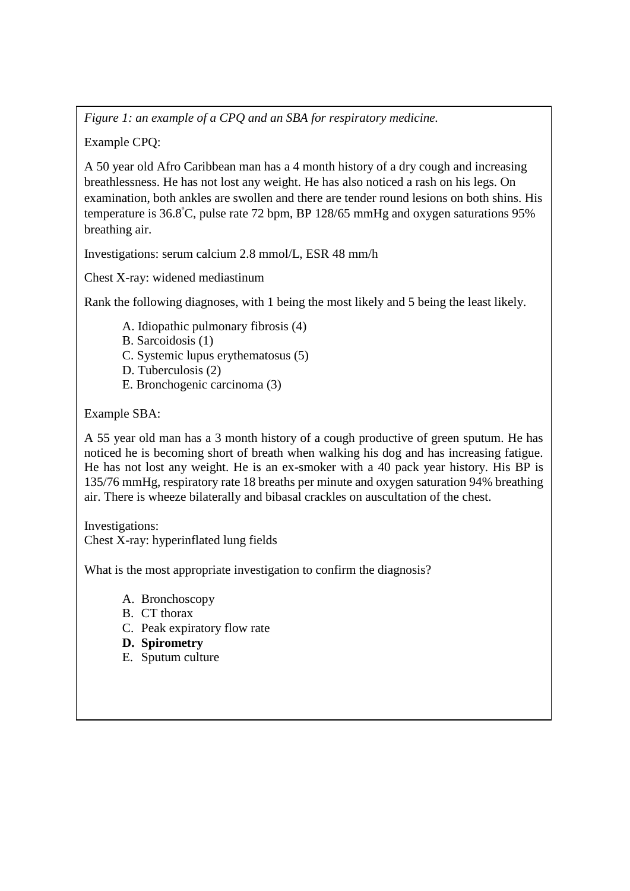*Figure 1: an example of a CPQ and an SBA for respiratory medicine.*

Example CPQ:

A 50 year old Afro Caribbean man has a 4 month history of a dry cough and increasing breathlessness. He has not lost any weight. He has also noticed a rash on his legs. On examination, both ankles are swollen and there are tender round lesions on both shins. His temperature is 36.8<sup>º</sup>C, pulse rate 72 bpm, BP 128/65 mmHg and oxygen saturations 95% breathing air.

Investigations: serum calcium 2.8 mmol/L, ESR 48 mm/h

Chest X-ray: widened mediastinum

Rank the following diagnoses, with 1 being the most likely and 5 being the least likely.

- A. Idiopathic pulmonary fibrosis (4)
- B. Sarcoidosis (1)
- C. Systemic lupus erythematosus (5)
- D. Tuberculosis (2)
- E. Bronchogenic carcinoma (3)

Example SBA:

A 55 year old man has a 3 month history of a cough productive of green sputum. He has noticed he is becoming short of breath when walking his dog and has increasing fatigue. He has not lost any weight. He is an ex-smoker with a 40 pack year history. His BP is 135/76 mmHg, respiratory rate 18 breaths per minute and oxygen saturation 94% breathing air. There is wheeze bilaterally and bibasal crackles on auscultation of the chest.

Investigations: Chest X-ray: hyperinflated lung fields

What is the most appropriate investigation to confirm the diagnosis?

- A. Bronchoscopy
- B. CT thorax
- C. Peak expiratory flow rate
- **D. Spirometry**
- E. Sputum culture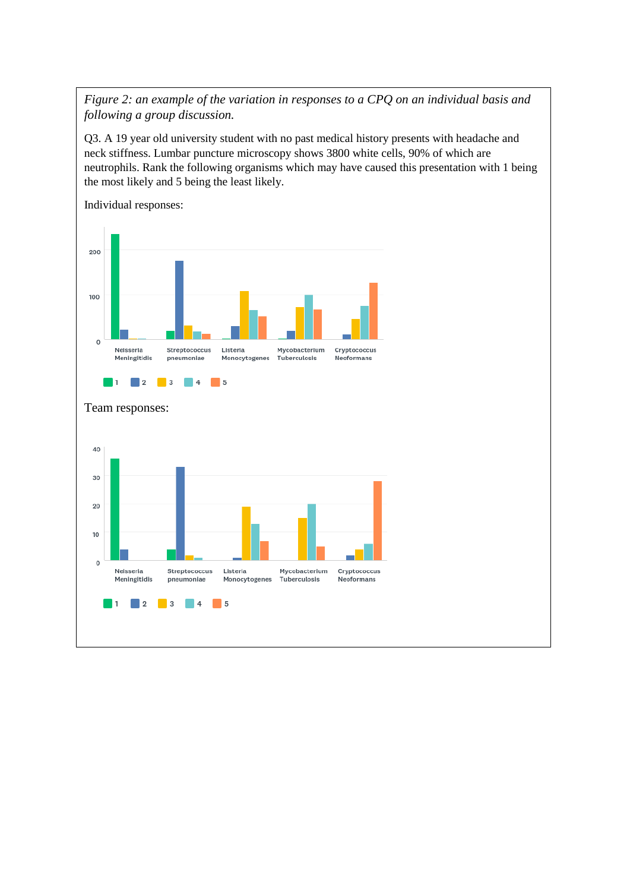*Figure 2: an example of the variation in responses to a CPQ on an individual basis and following a group discussion.*

Q3. A 19 year old university student with no past medical history presents with headache and neck stiffness. Lumbar puncture microscopy shows 3800 white cells, 90% of which are neutrophils. Rank the following organisms which may have caused this presentation with 1 being the most likely and 5 being the least likely.

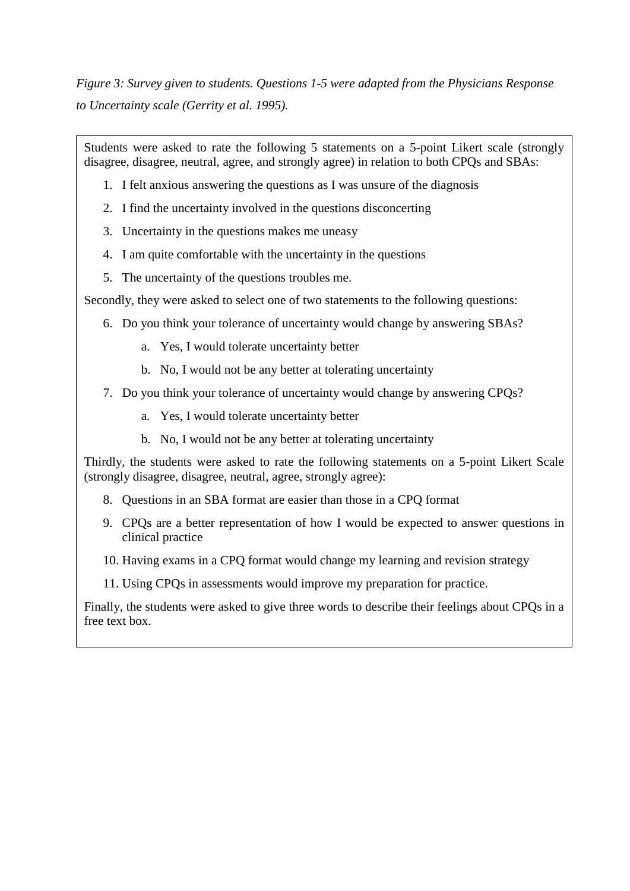*Figure 3: Survey given to students. Questions 1-5 were adapted from the Physicians Response to Uncertainty scale (Gerrity et al. 1995).*

Students were asked to rate the following 5 statements on a 5-point Likert scale (strongly disagree, disagree, neutral, agree, and strongly agree) in relation to both CPQs and SBAs:

- 1. I felt anxious answering the questions as I was unsure of the diagnosis
- 2. I find the uncertainty involved in the questions disconcerting
- 3. Uncertainty in the questions makes me uneasy
- 4. I am quite comfortable with the uncertainty in the questions
- 5. The uncertainty of the questions troubles me.

Secondly, they were asked to select one of two statements to the following questions:

- 6. Do you think your tolerance of uncertainty would change by answering SBAs?
	- a. Yes, I would tolerate uncertainty better
	- b. No, I would not be any better at tolerating uncertainty
- 7. Do you think your tolerance of uncertainty would change by answering CPQs?
	- a. Yes, I would tolerate uncertainty better
	- b. No, I would not be any better at tolerating uncertainty

Thirdly, the students were asked to rate the following statements on a 5-point Likert Scale (strongly disagree, disagree, neutral, agree, strongly agree):

- 8. Questions in an SBA format are easier than those in a CPQ format
- 9. CPQs are a better representation of how I would be expected to answer questions in clinical practice
- 10. Having exams in a CPQ format would change my learning and revision strategy
- 11. Using CPQs in assessments would improve my preparation for practice.

Finally, the students were asked to give three words to describe their feelings about CPQs in a free text box.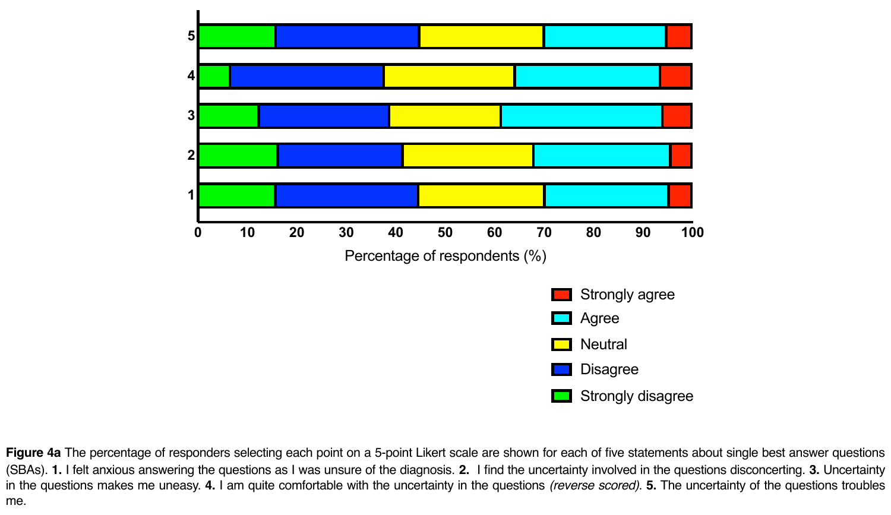

**Figure 4a** The percentage of responders selecting each point on a 5-point Likert scale are shown for each of five statements about single best answer questions (SBAs). **1.** I felt anxious answering the questions as I was unsure of the diagnosis. **2.** I find the uncertainty involved in the questions disconcerting. **3.** Uncertainty in the questions makes me uneasy. **4.** I am quite comfortable with the uncertainty in the questions *(reverse scored)*. **5.** The uncertainty of the questions troubles me.